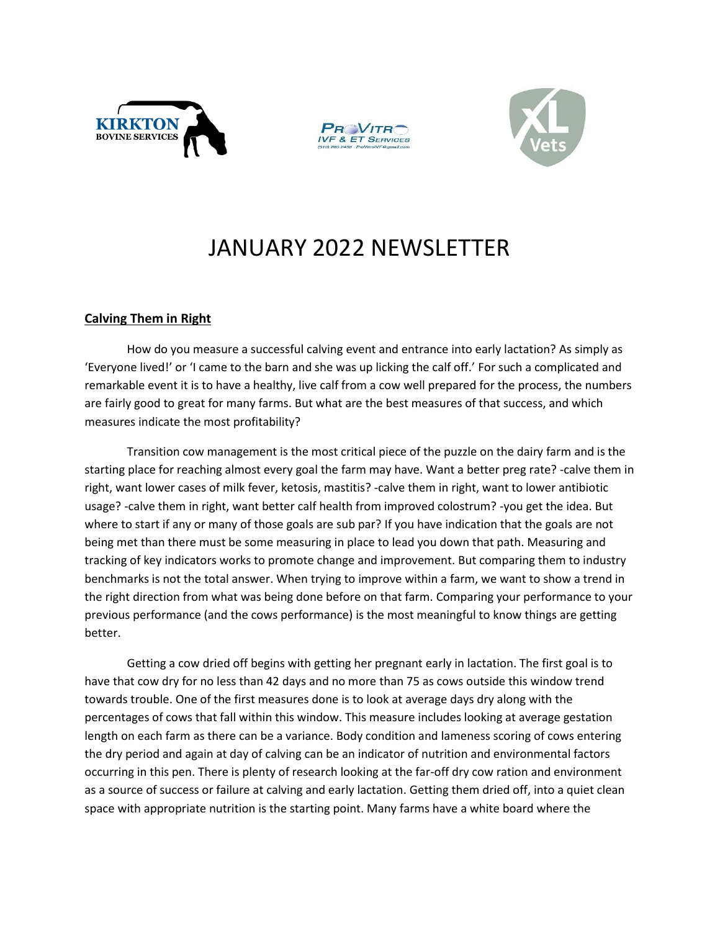





## JANUARY 2022 NEWSLETTER

## **Calving Them in Right**

How do you measure a successful calving event and entrance into early lactation? As simply as 'Everyone lived!' or 'I came to the barn and she was up licking the calf off.' For such a complicated and remarkable event it is to have a healthy, live calf from a cow well prepared for the process, the numbers are fairly good to great for many farms. But what are the best measures of that success, and which measures indicate the most profitability?

Transition cow management is the most critical piece of the puzzle on the dairy farm and is the starting place for reaching almost every goal the farm may have. Want a better preg rate? -calve them in right, want lower cases of milk fever, ketosis, mastitis? -calve them in right, want to lower antibiotic usage? -calve them in right, want better calf health from improved colostrum? -you get the idea. But where to start if any or many of those goals are sub par? If you have indication that the goals are not being met than there must be some measuring in place to lead you down that path. Measuring and tracking of key indicators works to promote change and improvement. But comparing them to industry benchmarks is not the total answer. When trying to improve within a farm, we want to show a trend in the right direction from what was being done before on that farm. Comparing your performance to your previous performance (and the cows performance) is the most meaningful to know things are getting better.

Getting a cow dried off begins with getting her pregnant early in lactation. The first goal is to have that cow dry for no less than 42 days and no more than 75 as cows outside this window trend towards trouble. One of the first measures done is to look at average days dry along with the percentages of cows that fall within this window. This measure includes looking at average gestation length on each farm as there can be a variance. Body condition and lameness scoring of cows entering the dry period and again at day of calving can be an indicator of nutrition and environmental factors occurring in this pen. There is plenty of research looking at the far-off dry cow ration and environment as a source of success or failure at calving and early lactation. Getting them dried off, into a quiet clean space with appropriate nutrition is the starting point. Many farms have a white board where the